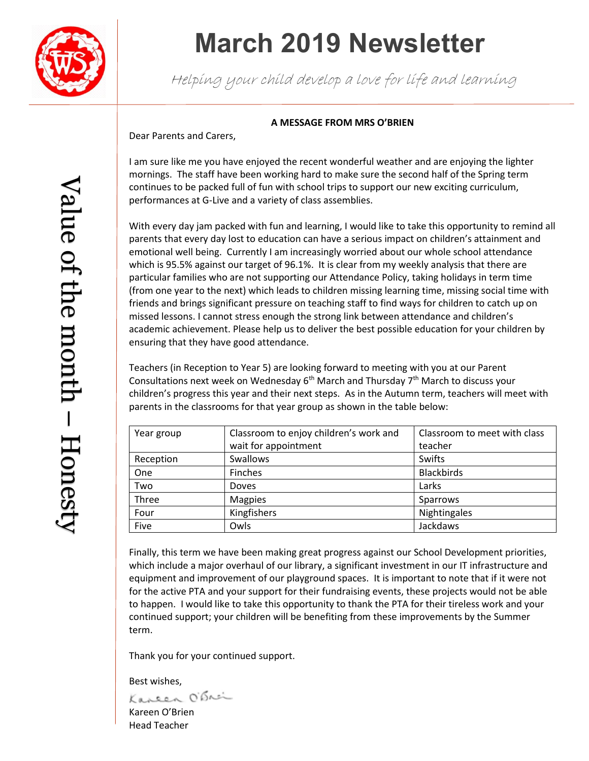

# **March 2019 Newsletter**

Helping your child develop a love for life and learning

# **A MESSAGE FROM MRS O'BRIEN**

Dear Parents and Carers,

I am sure like me you have enjoyed the recent wonderful weather and are enjoying the lighter mornings. The staff have been working hard to make sure the second half of the Spring term continues to be packed full of fun with school trips to support our new exciting curriculum, performances at G-Live and a variety of class assemblies.

With every day jam packed with fun and learning, I would like to take this opportunity to remind all parents that every day lost to education can have a serious impact on children's attainment and emotional well being. Currently I am increasingly worried about our whole school attendance which is 95.5% against our target of 96.1%. It is clear from my weekly analysis that there are particular families who are not supporting our Attendance Policy, taking holidays in term time (from one year to the next) which leads to children missing learning time, missing social time with friends and brings significant pressure on teaching staff to find ways for children to catch up on missed lessons. I cannot stress enough the strong link between attendance and children's academic achievement. Please help us to deliver the best possible education for your children by ensuring that they have good attendance.

Teachers (in Reception to Year 5) are looking forward to meeting with you at our Parent Consultations next week on Wednesday  $6<sup>th</sup>$  March and Thursday  $7<sup>th</sup>$  March to discuss your children's progress this year and their next steps. As in the Autumn term, teachers will meet with parents in the classrooms for that year group as shown in the table below:

| Year group | Classroom to enjoy children's work and | Classroom to meet with class |
|------------|----------------------------------------|------------------------------|
|            | wait for appointment                   | teacher                      |
| Reception  | <b>Swallows</b>                        | Swifts                       |
| One        | Finches                                | <b>Blackbirds</b>            |
| Two        | <b>Doves</b>                           | Larks                        |
| Three      | <b>Magpies</b>                         | Sparrows                     |
| Four       | Kingfishers                            | Nightingales                 |
| Five       | Owls                                   | Jackdaws                     |

Finally, this term we have been making great progress against our School Development priorities, which include a major overhaul of our library, a significant investment in our IT infrastructure and equipment and improvement of our playground spaces. It is important to note that if it were not for the active PTA and your support for their fundraising events, these projects would not be able to happen. I would like to take this opportunity to thank the PTA for their tireless work and your continued support; your children will be benefiting from these improvements by the Summer term.

Thank you for your continued support.

Best wishes,<br>Kaneen O'Brei Kareen O'Brien Head Teacher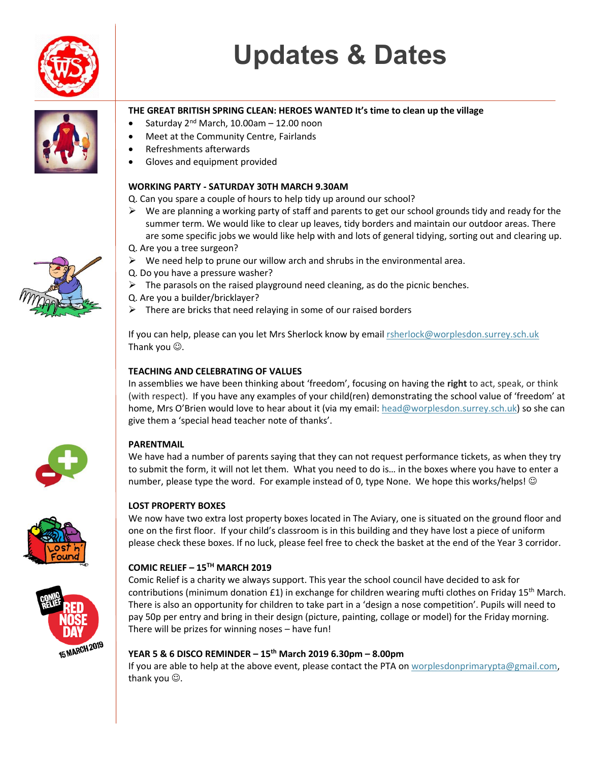



# **THE GREAT BRITISH SPRING CLEAN: HEROES WANTED It's time to clean up the village**

- Saturday  $2^{nd}$  March, 10.00am 12.00 noon
- Meet at the Community Centre, Fairlands
- Refreshments afterwards
- Gloves and equipment provided

### **WORKING PARTY - SATURDAY 30TH MARCH 9.30AM**

Q. Can you spare a couple of hours to help tidy up around our school?

- $\triangleright$  We are planning a working party of staff and parents to get our school grounds tidy and ready for the summer term. We would like to clear up leaves, tidy borders and maintain our outdoor areas. There are some specific jobs we would like help with and lots of general tidying, sorting out and clearing up. Q. Are you a tree surgeon?
- $\triangleright$  We need help to prune our willow arch and shrubs in the environmental area.
- Q. Do you have a pressure washer?
- $\triangleright$  The parasols on the raised playground need cleaning, as do the picnic benches.
- Q. Are you a builder/bricklayer?
- There are bricks that need relaying in some of our raised borders

If you can help, please can you let Mrs Sherlock know by email [rsherlock@worplesdon.surrey.sch.uk](mailto:rsherlock@worplesdon.surrey.sch.uk) Thank you  $\odot$ .

## **TEACHING AND CELEBRATING OF VALUES**

In assemblies we have been thinking about 'freedom', focusing on having the **right** to act, speak, or think (with respect). If you have any examples of your child(ren) demonstrating the school value of 'freedom' at home, Mrs O'Brien would love to hear about it (via my email: [head@worplesdon.surrey.sch.uk\)](mailto:head@worplesdon.surrey.sch.uk) so she can give them a 'special head teacher note of thanks'.





# **PARENTMAIL**

We have had a number of parents saying that they can not request performance tickets, as when they try to submit the form, it will not let them. What you need to do is… in the boxes where you have to enter a number, please type the word. For example instead of 0, type None. We hope this works/helps!  $\odot$ 

#### **LOST PROPERTY BOXES**

We now have two extra lost property boxes located in The Aviary, one is situated on the ground floor and one on the first floor. If your child's classroom is in this building and they have lost a piece of uniform please check these boxes. If no luck, please feel free to check the basket at the end of the Year 3 corridor.

#### **COMIC RELIEF – 15TH MARCH 2019**

Comic Relief is a charity we always support. This year the school council have decided to ask for contributions (minimum donation £1) in exchange for children wearing mufti clothes on Friday 15<sup>th</sup> March. There is also an opportunity for children to take part in a 'design a nose competition'. Pupils will need to pay 50p per entry and bring in their design (picture, painting, collage or model) for the Friday morning. There will be prizes for winning noses – have fun!

### **YEAR 5 & 6 DISCO REMINDER – 15th March 2019 6.30pm – 8.00pm**

If you are able to help at the above event, please contact the PTA o[n worplesdonprimarypta@gmail.com,](mailto:worplesdonprimarypta@gmail.com) thank you  $\odot$ .